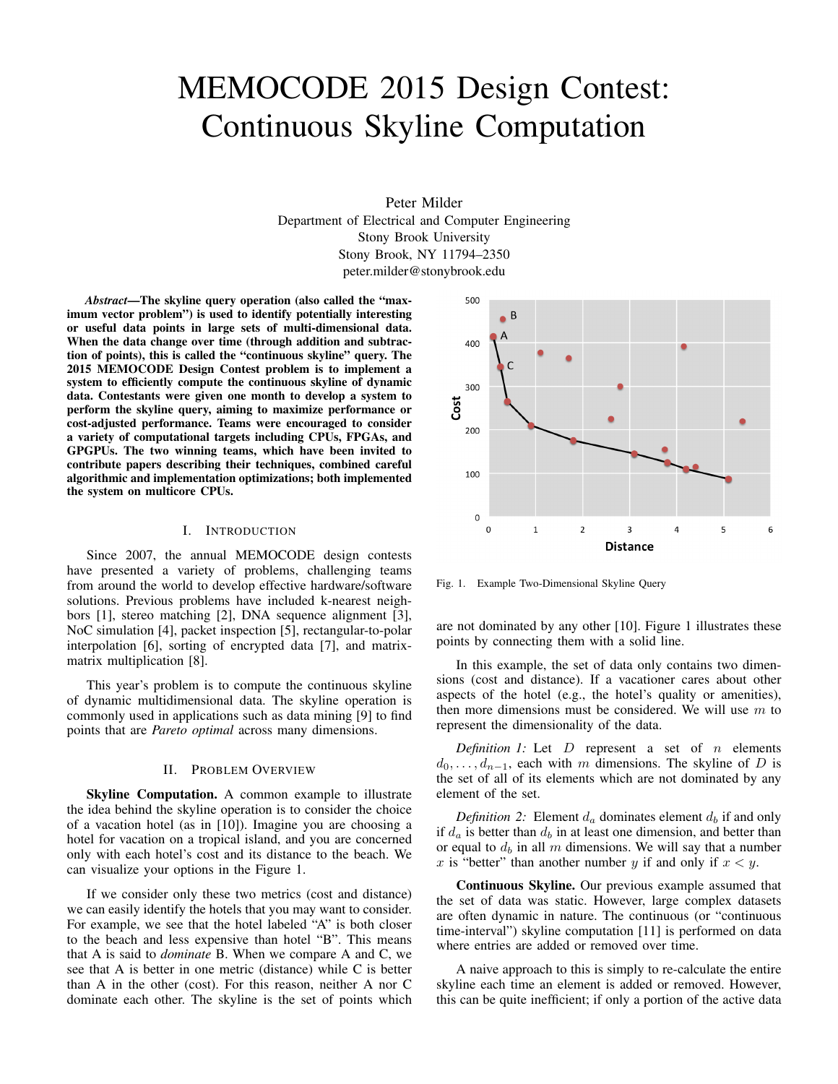# MEMOCODE 2015 Design Contest: Continuous Skyline Computation

Peter Milder Department of Electrical and Computer Engineering Stony Brook University Stony Brook, NY 11794–2350 peter.milder@stonybrook.edu

*Abstract*—The skyline query operation (also called the "maximum vector problem") is used to identify potentially interesting or useful data points in large sets of multi-dimensional data. When the data change over time (through addition and subtraction of points), this is called the "continuous skyline" query. The 2015 MEMOCODE Design Contest problem is to implement a system to efficiently compute the continuous skyline of dynamic data. Contestants were given one month to develop a system to perform the skyline query, aiming to maximize performance or cost-adjusted performance. Teams were encouraged to consider a variety of computational targets including CPUs, FPGAs, and GPGPUs. The two winning teams, which have been invited to contribute papers describing their techniques, combined careful algorithmic and implementation optimizations; both implemented the system on multicore CPUs.

## I. INTRODUCTION

Since 2007, the annual MEMOCODE design contests have presented a variety of problems, challenging teams from around the world to develop effective hardware/software solutions. Previous problems have included k-nearest neighbors [1], stereo matching [2], DNA sequence alignment [3], NoC simulation [4], packet inspection [5], rectangular-to-polar interpolation [6], sorting of encrypted data [7], and matrixmatrix multiplication [8].

This year's problem is to compute the continuous skyline of dynamic multidimensional data. The skyline operation is commonly used in applications such as data mining [9] to find points that are *Pareto optimal* across many dimensions.

## II. PROBLEM OVERVIEW

Skyline Computation. A common example to illustrate the idea behind the skyline operation is to consider the choice of a vacation hotel (as in [10]). Imagine you are choosing a hotel for vacation on a tropical island, and you are concerned only with each hotel's cost and its distance to the beach. We can visualize your options in the Figure 1.

If we consider only these two metrics (cost and distance) we can easily identify the hotels that you may want to consider. For example, we see that the hotel labeled "A" is both closer to the beach and less expensive than hotel "B". This means that A is said to *dominate* B. When we compare A and C, we see that A is better in one metric (distance) while C is better than A in the other (cost). For this reason, neither A nor C dominate each other. The skyline is the set of points which



Fig. 1. Example Two-Dimensional Skyline Query

are not dominated by any other [10]. Figure 1 illustrates these points by connecting them with a solid line.

In this example, the set of data only contains two dimensions (cost and distance). If a vacationer cares about other aspects of the hotel (e.g., the hotel's quality or amenities), then more dimensions must be considered. We will use  $m$  to represent the dimensionality of the data.

*Definition 1:* Let *D* represent a set of *n* elements  $d_0, \ldots, d_{n-1}$ , each with m dimensions. The skyline of D is the set of all of its elements which are not dominated by any element of the set.

*Definition 2:* Element  $d_a$  dominates element  $d_b$  if and only if  $d_a$  is better than  $d_b$  in at least one dimension, and better than or equal to  $d_b$  in all m dimensions. We will say that a number x is "better" than another number y if and only if  $x < y$ .

Continuous Skyline. Our previous example assumed that the set of data was static. However, large complex datasets are often dynamic in nature. The continuous (or "continuous time-interval") skyline computation [11] is performed on data where entries are added or removed over time.

A naive approach to this is simply to re-calculate the entire skyline each time an element is added or removed. However, this can be quite inefficient; if only a portion of the active data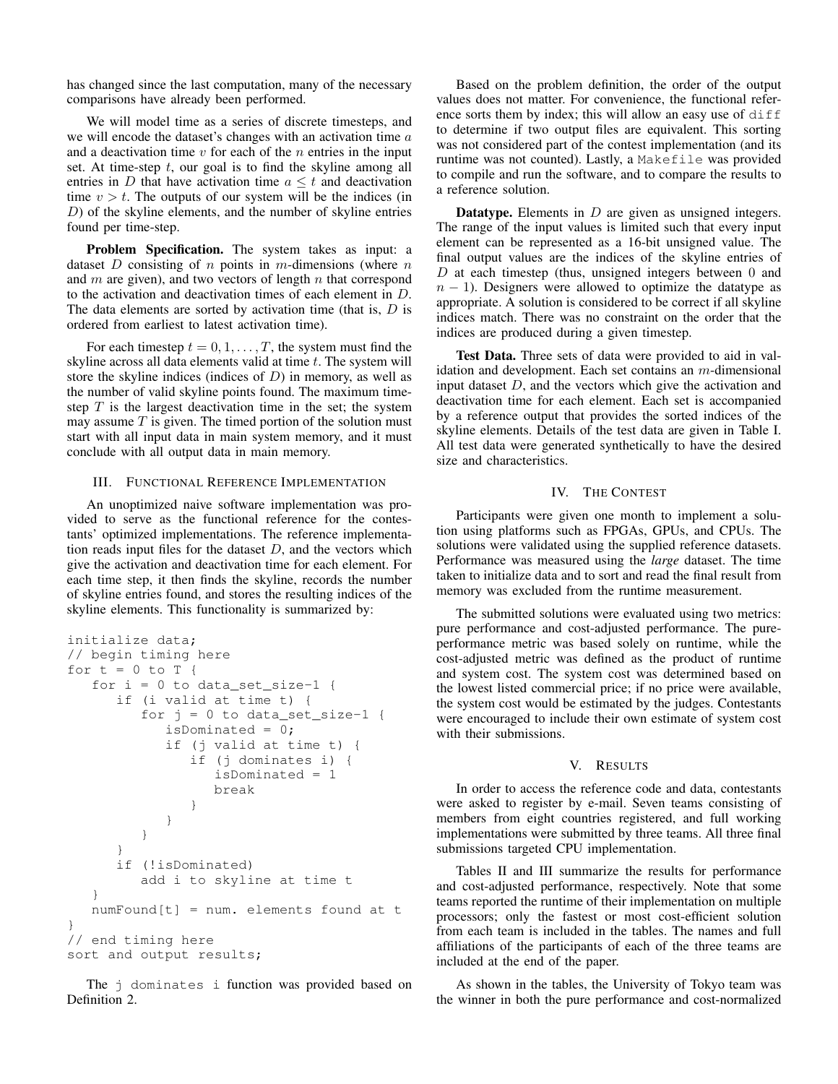has changed since the last computation, many of the necessary comparisons have already been performed.

We will model time as a series of discrete timesteps, and we will encode the dataset's changes with an activation time a and a deactivation time  $v$  for each of the  $n$  entries in the input set. At time-step  $t$ , our goal is to find the skyline among all entries in D that have activation time  $a \leq t$  and deactivation time  $v > t$ . The outputs of our system will be the indices (in D) of the skyline elements, and the number of skyline entries found per time-step.

Problem Specification. The system takes as input: a dataset  $D$  consisting of  $n$  points in  $m$ -dimensions (where  $n$ and  $m$  are given), and two vectors of length  $n$  that correspond to the activation and deactivation times of each element in D. The data elements are sorted by activation time (that is,  $D$  is ordered from earliest to latest activation time).

For each timestep  $t = 0, 1, \ldots, T$ , the system must find the skyline across all data elements valid at time  $t$ . The system will store the skyline indices (indices of  $D$ ) in memory, as well as the number of valid skyline points found. The maximum timestep  $T$  is the largest deactivation time in the set; the system may assume  $T$  is given. The timed portion of the solution must start with all input data in main system memory, and it must conclude with all output data in main memory.

## III. FUNCTIONAL REFERENCE IMPLEMENTATION

An unoptimized naive software implementation was provided to serve as the functional reference for the contestants' optimized implementations. The reference implementation reads input files for the dataset  $D$ , and the vectors which give the activation and deactivation time for each element. For each time step, it then finds the skyline, records the number of skyline entries found, and stores the resulting indices of the skyline elements. This functionality is summarized by:

```
initialize data;
// begin timing here
for t = 0 to T {
   for i = 0 to data_set_size-1 {
      if (i valid at time t) {
         for j = 0 to data_set_size-1 {
            isDominated = 0;if (j valid at time t) {
               if (j dominates i) {
                   isDominated = 1
                  break
               }
            }
         }
      }
      if (!isDominated)
         add i to skyline at time t
   }
   numFound[t] = num. elements found at t
}
// end timing here
sort and output results;
```
The *j* dominates i function was provided based on Definition 2.

Based on the problem definition, the order of the output values does not matter. For convenience, the functional reference sorts them by index; this will allow an easy use of diff to determine if two output files are equivalent. This sorting was not considered part of the contest implementation (and its runtime was not counted). Lastly, a Makefile was provided to compile and run the software, and to compare the results to a reference solution.

**Datatype.** Elements in  $D$  are given as unsigned integers. The range of the input values is limited such that every input element can be represented as a 16-bit unsigned value. The final output values are the indices of the skyline entries of  $D$  at each timestep (thus, unsigned integers between 0 and  $n - 1$ ). Designers were allowed to optimize the datatype as appropriate. A solution is considered to be correct if all skyline indices match. There was no constraint on the order that the indices are produced during a given timestep.

Test Data. Three sets of data were provided to aid in validation and development. Each set contains an m-dimensional input dataset  $D$ , and the vectors which give the activation and deactivation time for each element. Each set is accompanied by a reference output that provides the sorted indices of the skyline elements. Details of the test data are given in Table I. All test data were generated synthetically to have the desired size and characteristics.

## IV. THE CONTEST

Participants were given one month to implement a solution using platforms such as FPGAs, GPUs, and CPUs. The solutions were validated using the supplied reference datasets. Performance was measured using the *large* dataset. The time taken to initialize data and to sort and read the final result from memory was excluded from the runtime measurement.

The submitted solutions were evaluated using two metrics: pure performance and cost-adjusted performance. The pureperformance metric was based solely on runtime, while the cost-adjusted metric was defined as the product of runtime and system cost. The system cost was determined based on the lowest listed commercial price; if no price were available, the system cost would be estimated by the judges. Contestants were encouraged to include their own estimate of system cost with their submissions.

## V. RESULTS

In order to access the reference code and data, contestants were asked to register by e-mail. Seven teams consisting of members from eight countries registered, and full working implementations were submitted by three teams. All three final submissions targeted CPU implementation.

Tables II and III summarize the results for performance and cost-adjusted performance, respectively. Note that some teams reported the runtime of their implementation on multiple processors; only the fastest or most cost-efficient solution from each team is included in the tables. The names and full affiliations of the participants of each of the three teams are included at the end of the paper.

As shown in the tables, the University of Tokyo team was the winner in both the pure performance and cost-normalized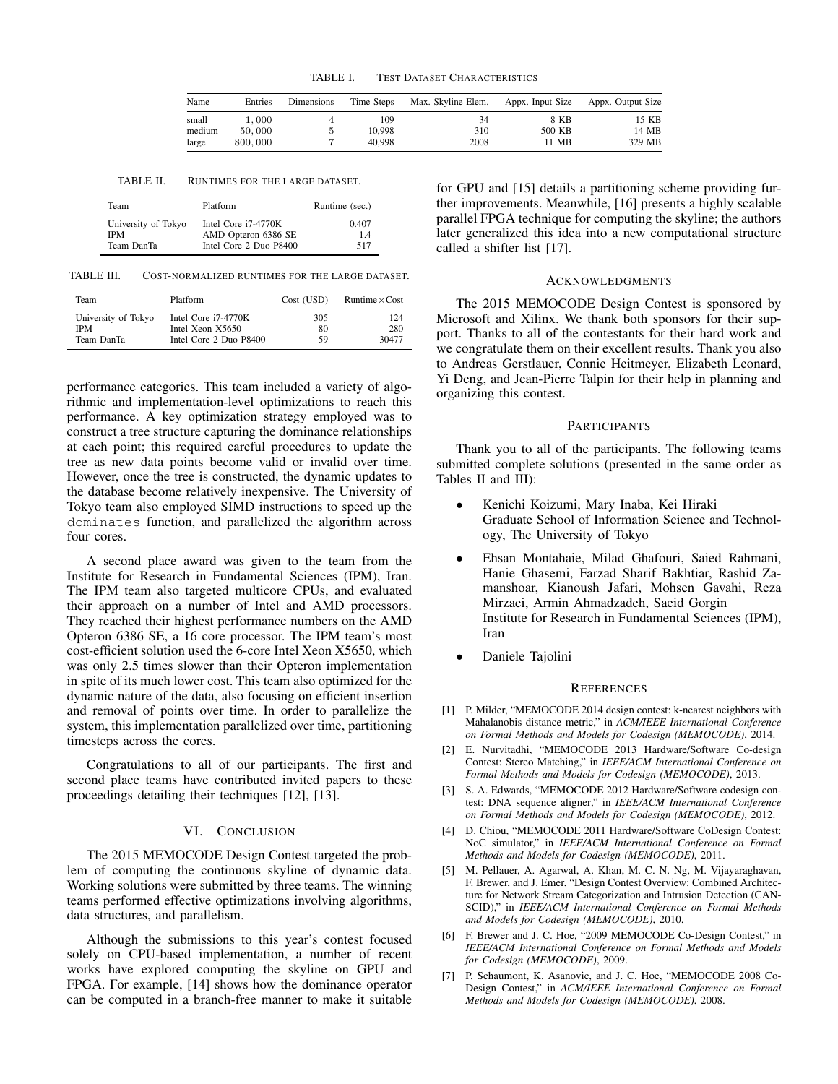| Name   | Entries | Dimensions | Time Steps | Max. Skyline Elem. | Appx. Input Size | Appx. Output Size |
|--------|---------|------------|------------|--------------------|------------------|-------------------|
| small  | 1,000   |            | 109        | 34                 | 8 KB             | 15 KB             |
| medium | 50,000  |            | 10.998     | 310                | 500 KB           | 14 MB             |
| large  | 800,000 |            | 40.998     | 2008               | 11 MB            | 329 MB            |

TABLE II. RUNTIMES FOR THE LARGE DATASET.

| Team                | Platform               | Runtime (sec.) |
|---------------------|------------------------|----------------|
| University of Tokyo | Intel Core i7-4770K    | 0.407          |
| <b>IPM</b>          | AMD Opteron 6386 SE    | 1.4            |
| Team DanTa          | Intel Core 2 Duo P8400 | 517            |

TABLE III. COST-NORMALIZED RUNTIMES FOR THE LARGE DATASET.

| Team                | Platform               | Cost (USD) | $R$ untime $\times$ Cost |
|---------------------|------------------------|------------|--------------------------|
| University of Tokyo | Intel Core i7-4770K    | 305        | 124                      |
| IPM                 | Intel Xeon X5650       | 80         | 280                      |
| Team DanTa          | Intel Core 2 Duo P8400 | 59         | 30477                    |

performance categories. This team included a variety of algorithmic and implementation-level optimizations to reach this performance. A key optimization strategy employed was to construct a tree structure capturing the dominance relationships at each point; this required careful procedures to update the tree as new data points become valid or invalid over time. However, once the tree is constructed, the dynamic updates to the database become relatively inexpensive. The University of Tokyo team also employed SIMD instructions to speed up the dominates function, and parallelized the algorithm across four cores.

A second place award was given to the team from the Institute for Research in Fundamental Sciences (IPM), Iran. The IPM team also targeted multicore CPUs, and evaluated their approach on a number of Intel and AMD processors. They reached their highest performance numbers on the AMD Opteron 6386 SE, a 16 core processor. The IPM team's most cost-efficient solution used the 6-core Intel Xeon X5650, which was only 2.5 times slower than their Opteron implementation in spite of its much lower cost. This team also optimized for the dynamic nature of the data, also focusing on efficient insertion and removal of points over time. In order to parallelize the system, this implementation parallelized over time, partitioning timesteps across the cores.

Congratulations to all of our participants. The first and second place teams have contributed invited papers to these proceedings detailing their techniques [12], [13].

### VI. CONCLUSION

The 2015 MEMOCODE Design Contest targeted the problem of computing the continuous skyline of dynamic data. Working solutions were submitted by three teams. The winning teams performed effective optimizations involving algorithms, data structures, and parallelism.

Although the submissions to this year's contest focused solely on CPU-based implementation, a number of recent works have explored computing the skyline on GPU and FPGA. For example, [14] shows how the dominance operator can be computed in a branch-free manner to make it suitable for GPU and [15] details a partitioning scheme providing further improvements. Meanwhile, [16] presents a highly scalable parallel FPGA technique for computing the skyline; the authors later generalized this idea into a new computational structure called a shifter list [17].

#### ACKNOWLEDGMENTS

The 2015 MEMOCODE Design Contest is sponsored by Microsoft and Xilinx. We thank both sponsors for their support. Thanks to all of the contestants for their hard work and we congratulate them on their excellent results. Thank you also to Andreas Gerstlauer, Connie Heitmeyer, Elizabeth Leonard, Yi Deng, and Jean-Pierre Talpin for their help in planning and organizing this contest.

## PARTICIPANTS

Thank you to all of the participants. The following teams submitted complete solutions (presented in the same order as Tables II and III):

- Kenichi Koizumi, Mary Inaba, Kei Hiraki Graduate School of Information Science and Technology, The University of Tokyo
- Ehsan Montahaie, Milad Ghafouri, Saied Rahmani, Hanie Ghasemi, Farzad Sharif Bakhtiar, Rashid Zamanshoar, Kianoush Jafari, Mohsen Gavahi, Reza Mirzaei, Armin Ahmadzadeh, Saeid Gorgin Institute for Research in Fundamental Sciences (IPM), Iran
- Daniele Tajolini

#### **REFERENCES**

- [1] P. Milder, "MEMOCODE 2014 design contest: k-nearest neighbors with Mahalanobis distance metric," in *ACM/IEEE International Conference on Formal Methods and Models for Codesign (MEMOCODE)*, 2014.
- [2] E. Nurvitadhi, "MEMOCODE 2013 Hardware/Software Co-design Contest: Stereo Matching," in *IEEE/ACM International Conference on Formal Methods and Models for Codesign (MEMOCODE)*, 2013.
- [3] S. A. Edwards, "MEMOCODE 2012 Hardware/Software codesign contest: DNA sequence aligner," in *IEEE/ACM International Conference on Formal Methods and Models for Codesign (MEMOCODE)*, 2012.
- [4] D. Chiou, "MEMOCODE 2011 Hardware/Software CoDesign Contest: NoC simulator," in *IEEE/ACM International Conference on Formal Methods and Models for Codesign (MEMOCODE)*, 2011.
- [5] M. Pellauer, A. Agarwal, A. Khan, M. C. N. Ng, M. Vijayaraghavan, F. Brewer, and J. Emer, "Design Contest Overview: Combined Architecture for Network Stream Categorization and Intrusion Detection (CAN-SCID)," in *IEEE/ACM International Conference on Formal Methods and Models for Codesign (MEMOCODE)*, 2010.
- [6] F. Brewer and J. C. Hoe, "2009 MEMOCODE Co-Design Contest," in *IEEE/ACM International Conference on Formal Methods and Models for Codesign (MEMOCODE)*, 2009.
- [7] P. Schaumont, K. Asanovic, and J. C. Hoe, "MEMOCODE 2008 Co-Design Contest," in *ACM/IEEE International Conference on Formal Methods and Models for Codesign (MEMOCODE)*, 2008.